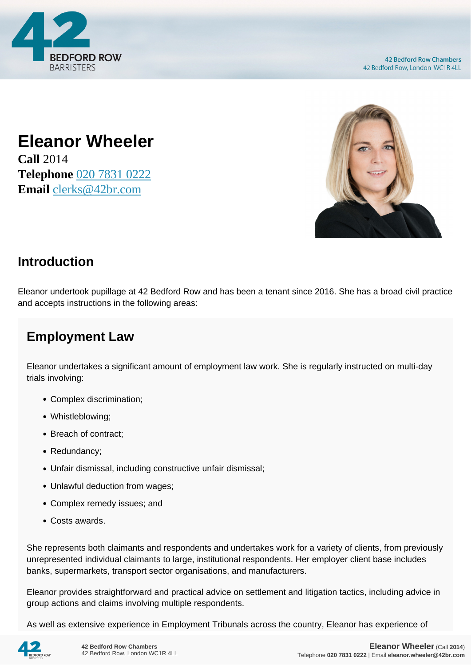

## **Eleanor Wheeler Call** 2014 **Telephone** [020 7831 0222](https://pdf.codeshore.co/_42br/tel:020 7831 0222)

**Email** [clerks@42br.com](mailto:clerks@42br.com)



## **Introduction**

Eleanor undertook pupillage at 42 Bedford Row and has been a tenant since 2016. She has a broad civil practice and accepts instructions in the following areas:

## **Employment Law**

Eleanor undertakes a significant amount of employment law work. She is regularly instructed on multi-day trials involving:

- Complex discrimination;
- Whistleblowing;
- Breach of contract;
- Redundancy;
- Unfair dismissal, including constructive unfair dismissal;
- Unlawful deduction from wages;
- Complex remedy issues; and
- Costs awards.

She represents both claimants and respondents and undertakes work for a variety of clients, from previously unrepresented individual claimants to large, institutional respondents. Her employer client base includes banks, supermarkets, transport sector organisations, and manufacturers.

Eleanor provides straightforward and practical advice on settlement and litigation tactics, including advice in group actions and claims involving multiple respondents.

As well as extensive experience in Employment Tribunals across the country, Eleanor has experience of